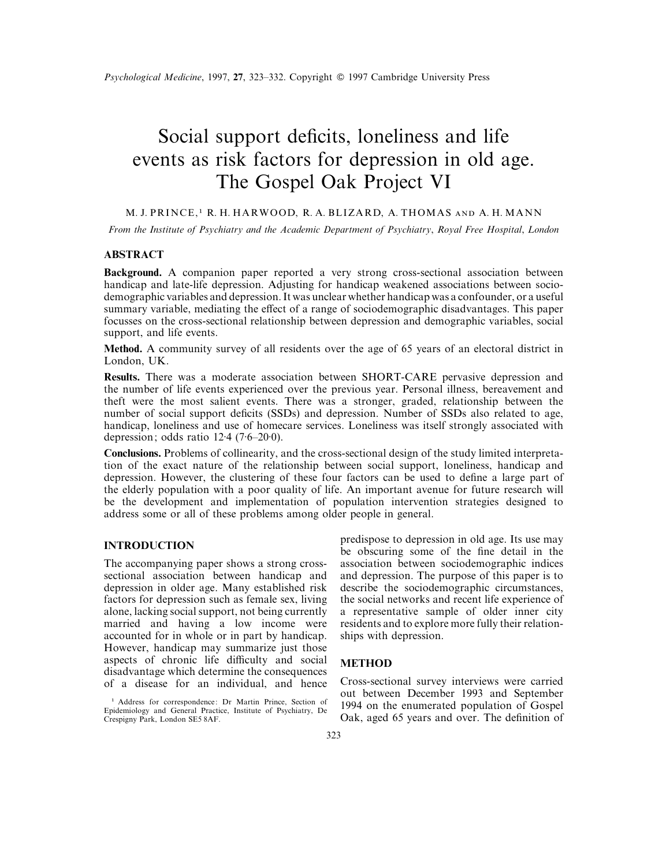# Social support deficits, loneliness and life events as risk factors for depression in old age. The Gospel Oak Project VI

# M. J. PR INCE," R. H. HARWOOD, R. A. BL IZARD, A. THOMAS A. H. MANN

*From the Institute of Psychiatry and the Academic Department of Psychiatry*, *Royal Free Hospital*, *London*

# **ABSTRACT**

**Background.** A companion paper reported a very strong cross-sectional association between handicap and late-life depression. Adjusting for handicap weakened associations between sociodemographic variables and depression. It was unclear whether handicap was a confounder, or a useful summary variable, mediating the effect of a range of sociodemographic disadvantages. This paper focusses on the cross-sectional relationship between depression and demographic variables, social support, and life events.

**Method.** A community survey of all residents over the age of 65 years of an electoral district in London, UK.

**Results.** There was a moderate association between SHORT-CARE pervasive depression and the number of life events experienced over the previous year. Personal illness, bereavement and theft were the most salient events. There was a stronger, graded, relationship between the number of social support deficits (SSDs) and depression. Number of SSDs also related to age, handicap, loneliness and use of homecare services. Loneliness was itself strongly associated with depression; odds ratio  $12.4$  (7 $-6-20.0$ ).

**Conclusions.** Problems of collinearity, and the cross-sectional design of the study limited interpretation of the exact nature of the relationship between social support, loneliness, handicap and depression. However, the clustering of these four factors can be used to define a large part of the elderly population with a poor quality of life. An important avenue for future research will be the development and implementation of population intervention strategies designed to address some or all of these problems among older people in general.

## **INTRODUCTION**

The accompanying paper shows a strong crosssectional association between handicap and depression in older age. Many established risk factors for depression such as female sex, living alone, lacking social support, not being currently married and having a low income were accounted for in whole or in part by handicap. However, handicap may summarize just those aspects of chronic life difficulty and social disadvantage which determine the consequences of a disease for an individual, and hence

<sup>1</sup> Address for correspondence: Dr Martin Prince, Section of Epidemiology and General Practice, Institute of Psychiatry, De Crespigny Park, London SE5 8AF.

predispose to depression in old age. Its use may be obscuring some of the fine detail in the association between sociodemographic indices and depression. The purpose of this paper is to describe the sociodemographic circumstances, the social networks and recent life experience of a representative sample of older inner city residents and to explore more fully their relationships with depression.

#### **METHOD**

Cross-sectional survey interviews were carried out between December 1993 and September 1994 on the enumerated population of Gospel Oak, aged 65 years and over. The definition of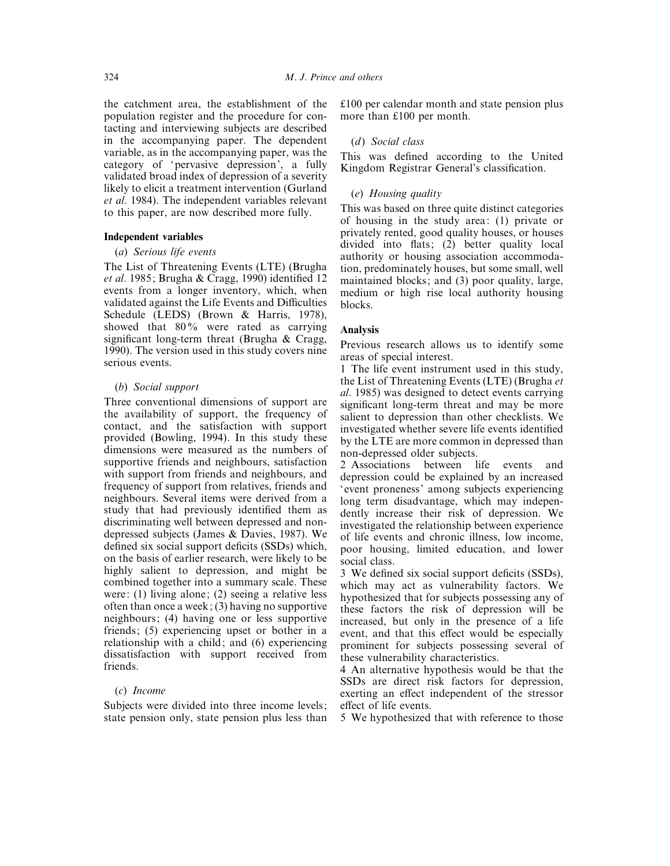the catchment area, the establishment of the population register and the procedure for contacting and interviewing subjects are described in the accompanying paper. The dependent variable, as in the accompanying paper, was the category of 'pervasive depression', a fully validated broad index of depression of a severity likely to elicit a treatment intervention (Gurland *et al*. 1984). The independent variables relevant to this paper, are now described more fully.

# **Independent variables**

## (*a*) *Serious life events*

The List of Threatening Events (LTE) (Brugha *et al*. 1985; Brugha & Cragg, 1990) identified 12 events from a longer inventory, which, when validated against the Life Events and Difficulties Schedule (LEDS) (Brown & Harris, 1978), showed that 80% were rated as carrying significant long-term threat (Brugha & Cragg, 1990). The version used in this study covers nine serious events.

# (*b*) *Social support*

Three conventional dimensions of support are the availability of support, the frequency of contact, and the satisfaction with support provided (Bowling, 1994). In this study these dimensions were measured as the numbers of supportive friends and neighbours, satisfaction with support from friends and neighbours, and frequency of support from relatives, friends and neighbours. Several items were derived from a study that had previously identified them as discriminating well between depressed and nondepressed subjects (James & Davies, 1987). We defined six social support deficits (SSDs) which, on the basis of earlier research, were likely to be highly salient to depression, and might be combined together into a summary scale. These were: (1) living alone; (2) seeing a relative less often than once a week; (3) having no supportive neighbours; (4) having one or less supportive friends; (5) experiencing upset or bother in a relationship with a child; and (6) experiencing dissatisfaction with support received from friends.

# (*c*) *Income*

Subjects were divided into three income levels; state pension only, state pension plus less than £100 per calendar month and state pension plus more than £100 per month.

#### (*d*) *Social class*

This was defined according to the United Kingdom Registrar General's classification.

# (*e*) *Housing quality*

This was based on three quite distinct categories of housing in the study area: (1) private or privately rented, good quality houses, or houses divided into flats; (2) better quality local authority or housing association accommodation, predominately houses, but some small, well maintained blocks; and (3) poor quality, large, medium or high rise local authority housing blocks.

# **Analysis**

Previous research allows us to identify some areas of special interest.

1 The life event instrument used in this study, the List of Threatening Events (LTE) (Brugha *et al*. 1985) was designed to detect events carrying significant long-term threat and may be more salient to depression than other checklists. We investigated whether severe life events identified by the LTE are more common in depressed than non-depressed older subjects.

2 Associations between life events and depression could be explained by an increased 'event proneness' among subjects experiencing long term disadvantage, which may independently increase their risk of depression. We investigated the relationship between experience of life events and chronic illness, low income, poor housing, limited education, and lower social class.

3 We defined six social support deficits (SSDs), which may act as vulnerability factors. We hypothesized that for subjects possessing any of these factors the risk of depression will be increased, but only in the presence of a life event, and that this effect would be especially prominent for subjects possessing several of these vulnerability characteristics.

4 An alternative hypothesis would be that the SSDs are direct risk factors for depression, exerting an effect independent of the stressor effect of life events.

5 We hypothesized that with reference to those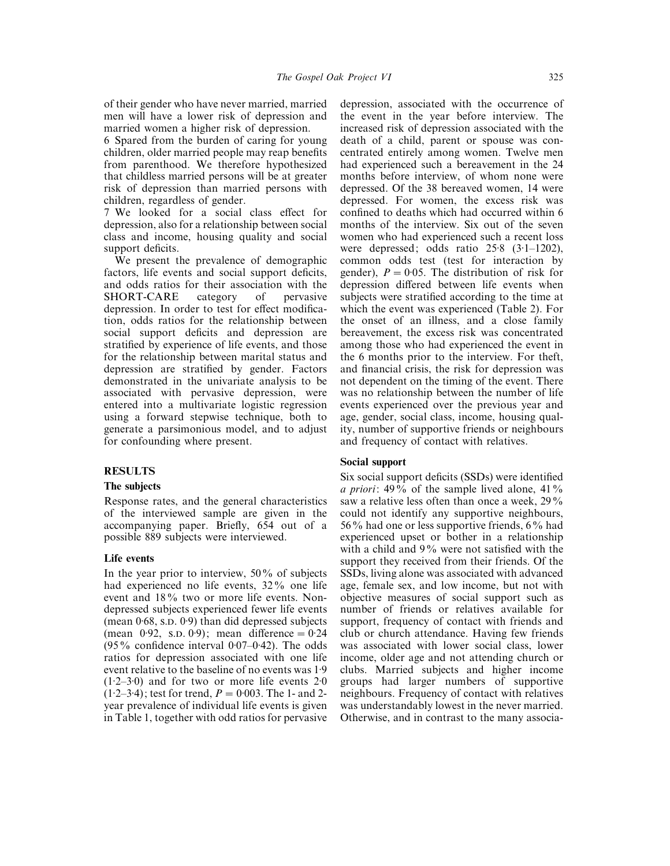of their gender who have never married, married men will have a lower risk of depression and married women a higher risk of depression.

6 Spared from the burden of caring for young children, older married people may reap benefits from parenthood. We therefore hypothesized that childless married persons will be at greater risk of depression than married persons with children, regardless of gender.

7 We looked for a social class effect for depression, also for a relationship between social class and income, housing quality and social support deficits.

We present the prevalence of demographic factors, life events and social support deficits, and odds ratios for their association with the SHORT-CARE category of pervasive depression. In order to test for effect modification, odds ratios for the relationship between social support deficits and depression are stratified by experience of life events, and those for the relationship between marital status and depression are stratified by gender. Factors demonstrated in the univariate analysis to be associated with pervasive depression, were entered into a multivariate logistic regression using a forward stepwise technique, both to generate a parsimonious model, and to adjust for confounding where present.

## **RESULTS**

# **The subjects**

Response rates, and the general characteristics of the interviewed sample are given in the accompanying paper. Briefly, 654 out of a possible 889 subjects were interviewed.

# **Life events**

In the year prior to interview, 50% of subjects had experienced no life events, 32% one life event and 18% two or more life events. Nondepressed subjects experienced fewer life events (mean  $0.68$ , s.p.  $0.9$ ) than did depressed subjects (mean  $0.92$ , s.p.  $0.9$ ); mean difference =  $0.24$ (95% confidence interval  $0.07-0.42$ ). The odds ratios for depression associated with one life event relative to the baseline of no events was 1.9  $(1.2-3.0)$  and for two or more life events 2.0  $(1·2–3·4)$ ; test for trend,  $P = 0.003$ . The 1- and 2year prevalence of individual life events is given in Table 1, together with odd ratios for pervasive depression, associated with the occurrence of the event in the year before interview. The increased risk of depression associated with the death of a child, parent or spouse was concentrated entirely among women. Twelve men had experienced such a bereavement in the 24 months before interview, of whom none were depressed. Of the 38 bereaved women, 14 were depressed. For women, the excess risk was confined to deaths which had occurred within 6 months of the interview. Six out of the seven women who had experienced such a recent loss were depressed; odds ratio 25<sup>-8</sup> (3·1-1202), common odds test (test for interaction by gender),  $P = 0.05$ . The distribution of risk for depression differed between life events when subjects were stratified according to the time at which the event was experienced (Table 2). For the onset of an illness, and a close family bereavement, the excess risk was concentrated among those who had experienced the event in the 6 months prior to the interview. For theft, and financial crisis, the risk for depression was not dependent on the timing of the event. There was no relationship between the number of life events experienced over the previous year and age, gender, social class, income, housing quality, number of supportive friends or neighbours and frequency of contact with relatives.

# **Social support**

Six social support deficits (SSDs) were identified *a priori*: 49% of the sample lived alone, 41% saw a relative less often than once a week, 29% could not identify any supportive neighbours, 56% had one or less supportive friends, 6% had experienced upset or bother in a relationship with a child and 9% were not satisfied with the support they received from their friends. Of the SSDs, living alone was associated with advanced age, female sex, and low income, but not with objective measures of social support such as number of friends or relatives available for support, frequency of contact with friends and club or church attendance. Having few friends was associated with lower social class, lower income, older age and not attending church or clubs. Married subjects and higher income groups had larger numbers of supportive neighbours. Frequency of contact with relatives was understandably lowest in the never married. Otherwise, and in contrast to the many associa-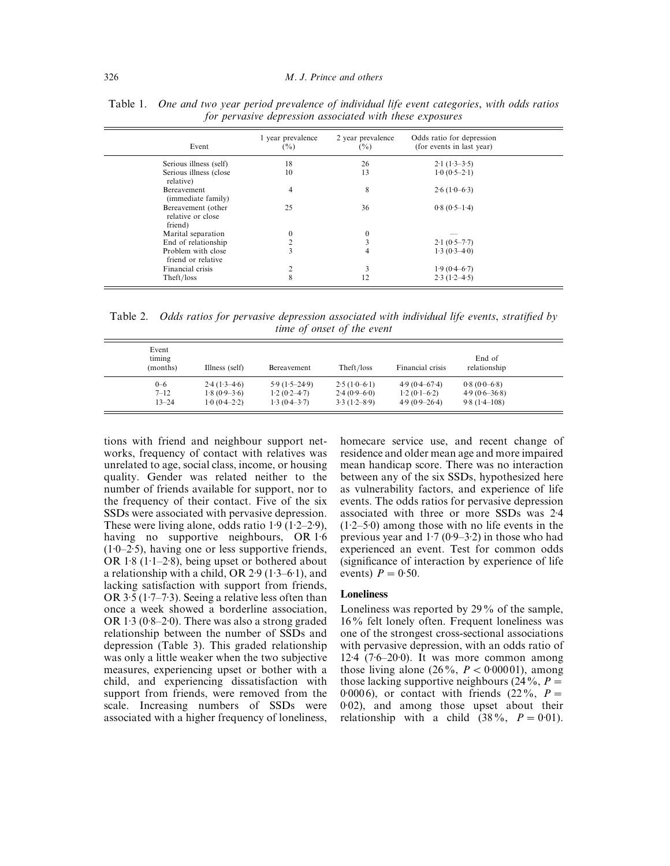| Event                                              | 1 year prevalence<br>$(\%)$ | 2 year prevalence<br>$($ %) | Odds ratio for depression<br>(for events in last year) |  |
|----------------------------------------------------|-----------------------------|-----------------------------|--------------------------------------------------------|--|
| Serious illness (self)                             | 18                          | 26                          | $2.1(1.3-3.5)$                                         |  |
| Serious illness (close<br>relative)                | 10                          | 13                          | $1.0(0.5-2.1)$                                         |  |
| <b>Bereavement</b><br>(immediate family)           | 4                           | 8                           | $2.6(1.0-6.3)$                                         |  |
| Bereavement (other<br>relative or close<br>friend) | 25                          | 36                          | $0.8(0.5-1.4)$                                         |  |
| Marital separation                                 | $\mathbf{0}$                | $\mathbf{0}$                |                                                        |  |
| End of relationship                                | 2                           | 3                           | $2.1(0.5-7.7)$                                         |  |
| Problem with close<br>friend or relative           | 3                           | $\overline{4}$              | $1.3(0.3-4.0)$                                         |  |
| Financial crisis                                   | 2                           | 3                           | $1.9(0.4 - 6.7)$                                       |  |
| Theft/loss                                         | 8                           | 12                          | $2.3(1.2-4.5)$                                         |  |

Table 1. *One and two year period prevalence of individual life event categories*, *with odds ratios for pervasive depression associated with these exposures*

Table 2. *Odds ratios for pervasive depression associated with individual life events*, *stratified by time of onset of the event*

| Event<br>timing<br>(months) | Illness (self) | Bereavement      | Theft/loss       | Financial crisis  | End of<br>relationship |  |
|-----------------------------|----------------|------------------|------------------|-------------------|------------------------|--|
| $0 - 6$                     | $2.4(1.3-4.6)$ | $5.9(1.5-24.9)$  | $2.5(1.0-6.1)$   | $4.9(0.4 - 67.4)$ | $0.8(0.0-6.8)$         |  |
| $7 - 12$                    | $1.8(0.9-3.6)$ | $1.2(0.2 - 4.7)$ | $2.4(0.9-6.0)$   | $1.2(0.1-6.2)$    | $4.9(0.6 - 36.8)$      |  |
| $13 - 24$                   | $1.0(0.4-2.2)$ | $1.3(0.4 - 3.7)$ | $3.3(1.2 - 8.9)$ | $4.9(0.9-26.4)$   | $9.8(1.4-108)$         |  |

tions with friend and neighbour support networks, frequency of contact with relatives was unrelated to age, social class, income, or housing quality. Gender was related neither to the number of friends available for support, nor to the frequency of their contact. Five of the six SSDs were associated with pervasive depression. These were living alone, odds ratio  $1.9$  ( $1.2-2.9$ ), having no supportive neighbours, OR 1.6  $(1.0-2.5)$ , having one or less supportive friends, OR  $1\cdot8$  ( $1\cdot1-2\cdot8$ ), being upset or bothered about a relationship with a child, OR  $2.9$  (1 $\cdot$ 3–6 $\cdot$ 1), and lacking satisfaction with support from friends, OR  $3.5$  (1 $-7$  $-7.3$ ). Seeing a relative less often than once a week showed a borderline association, OR  $1\cdot3(0.8-2.0)$ . There was also a strong graded relationship between the number of SSDs and depression (Table 3). This graded relationship was only a little weaker when the two subjective measures, experiencing upset or bother with a child, and experiencing dissatisfaction with support from friends, were removed from the scale. Increasing numbers of SSDs were associated with a higher frequency of loneliness,

homecare service use, and recent change of residence and older mean age and more impaired mean handicap score. There was no interaction between any of the six SSDs, hypothesized here as vulnerability factors, and experience of life events. The odds ratios for pervasive depression associated with three or more SSDs was 2±4  $(1.2-5.0)$  among those with no life events in the previous year and  $1.7 (0.9-3.2)$  in those who had experienced an event. Test for common odds (significance of interaction by experience of life events)  $P = 0.50$ .

# **Loneliness**

Loneliness was reported by 29% of the sample, 16% felt lonely often. Frequent loneliness was one of the strongest cross-sectional associations with pervasive depression, with an odds ratio of  $12.4$  (7.6–20.0). It was more common among those living alone  $(26\%, P < 0.00001)$ , among those lacking supportive neighbours (24 $\%$ ,  $P =$ 0.0006), or contact with friends  $(22\%, P=$ 0±02), and among those upset about their relationship with a child  $(38\%, P = 0.01)$ .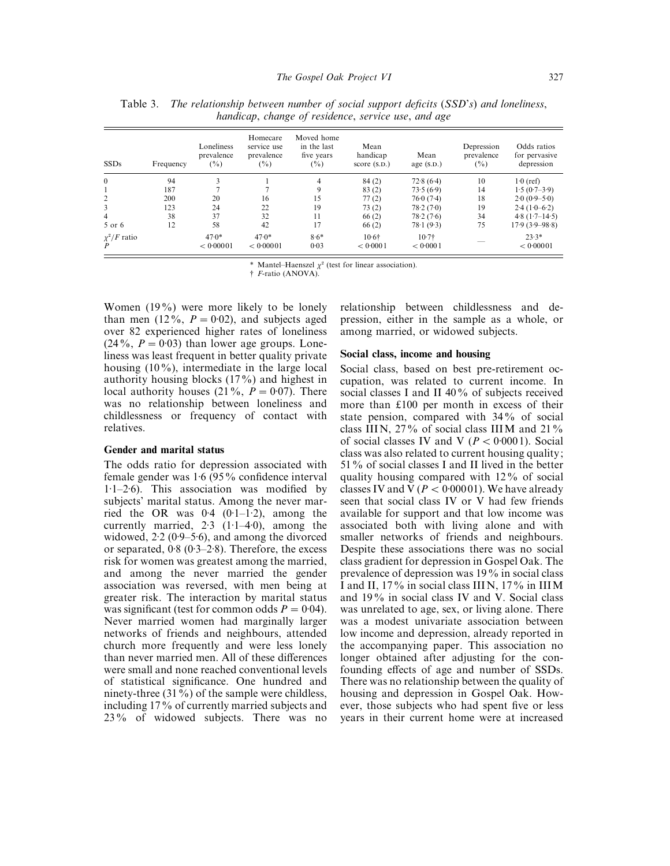| <b>SSDs</b>                          | Frequency | Loneliness<br>prevalence<br>$(\%)$ | Homecare<br>service use<br>prevalence<br>$(\%)$ | Moved home<br>in the last<br>five years<br>$(\%)$ | Mean<br>handicap<br>score $(S.D.)$ | Mean<br>age $(S.D.)$   | Depression<br>prevalence<br>$(\% )$ | Odds ratios<br>for pervasive<br>depression |
|--------------------------------------|-----------|------------------------------------|-------------------------------------------------|---------------------------------------------------|------------------------------------|------------------------|-------------------------------------|--------------------------------------------|
| $\mathbf{0}$                         | 94        | 3                                  |                                                 | 4                                                 | 84(2)                              | 72.8(6.4)              | 10                                  | $1.0$ (ref)                                |
|                                      | 187       |                                    |                                                 | 9                                                 | 83(2)                              | 73.5(6.9)              | 14                                  | $1.5(0.7-3.9)$                             |
| 2                                    | 200       | 20                                 | 16                                              | 15                                                | 77(2)                              | 76.0(7.4)              | 18                                  | $2.0(0.9-5.0)$                             |
| 3                                    | 123       | 24                                 | 22                                              | 19                                                | 73(2)                              | 78.2(7.0)              | 19                                  | $2.4(1.0-6.2)$                             |
| $\overline{4}$                       | 38        | 37                                 | 32                                              | 11                                                | 66(2)                              | 78.2(7.6)              | 34                                  | $4.8(1.7-14.5)$                            |
| 5 or 6                               | 12        | 58                                 | 42                                              | 17                                                | 66(2)                              | 78.1(9.3)              | 75                                  | $17.9(3.9 - 98.8)$                         |
| $\chi^2/F$ ratio<br>$\boldsymbol{P}$ |           | $47.0*$<br>< 0.00001               | $47.0*$<br>< 0.00001                            | $8.6*$<br>0.03                                    | 10.6 <sup>†</sup><br>< 0.0001      | $10 - 7 +$<br>< 0.0001 |                                     | $23.3*$<br>< 0.00001                       |

Table 3. *The relationship between number of social support deficits* (*SSD*'*s*) *and loneliness*, *handicap*, *change of residence*, *service use*, *and age*

\* Mantel–Haenszel  $\chi^2$  (test for linear association).

† *F*-ratio (ANOVA).

Women (19%) were more likely to be lonely than men (12%,  $P = 0.02$ ), and subjects aged over 82 experienced higher rates of loneliness  $(24\%, P = 0.03)$  than lower age groups. Loneliness was least frequent in better quality private housing (10%), intermediate in the large local authority housing blocks (17%) and highest in local authority houses (21%,  $P = 0.07$ ). There was no relationship between loneliness and childlessness or frequency of contact with relatives.

# **Gender and marital status**

The odds ratio for depression associated with female gender was 1±6 (95% confidence interval  $1·1–2·6$ ). This association was modified by subjects' marital status. Among the never married the OR was  $0.4$  ( $0.1-1.2$ ), among the currently married,  $2.3$  (1.1–4.0), among the widowed,  $2.2$  (0.9–5.6), and among the divorced or separated,  $0.8$  ( $0.3-2.8$ ). Therefore, the excess risk for women was greatest among the married, and among the never married the gender association was reversed, with men being at greater risk. The interaction by marital status was significant (test for common odds  $P = 0.04$ ). Never married women had marginally larger networks of friends and neighbours, attended church more frequently and were less lonely than never married men. All of these differences were small and none reached conventional levels of statistical significance. One hundred and ninety-three (31%) of the sample were childless, including 17% of currently married subjects and 23% of widowed subjects. There was no

relationship between childlessness and depression, either in the sample as a whole, or among married, or widowed subjects.

## **Social class, income and housing**

Social class, based on best pre-retirement occupation, was related to current income. In social classes I and II 40% of subjects received more than £100 per month in excess of their state pension, compared with 34% of social class IIIN, 27% of social class IIIM and 21% of social classes IV and V ( $P < 0.0001$ ). Social class was also related to current housing quality; 51% of social classes I and II lived in the better quality housing compared with 12% of social classes IV and V ( $P < 0.00001$ ). We have already seen that social class IV or V had few friends available for support and that low income was associated both with living alone and with smaller networks of friends and neighbours. Despite these associations there was no social class gradient for depression in Gospel Oak. The prevalence of depression was 19% in social class I and II, 17% in social class IIIN, 17% in IIIM and 19% in social class IV and V. Social class was unrelated to age, sex, or living alone. There was a modest univariate association between low income and depression, already reported in the accompanying paper. This association no longer obtained after adjusting for the confounding effects of age and number of SSDs. There was no relationship between the quality of housing and depression in Gospel Oak. However, those subjects who had spent five or less years in their current home were at increased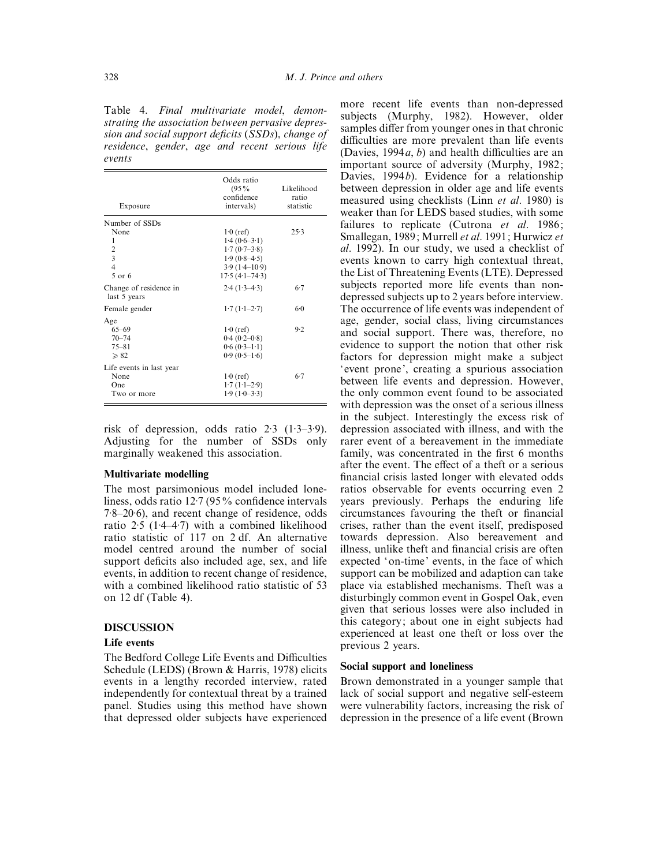Table 4. *Final multivariate model*, *demonstrating the association between pervasive depression and social support deficits* (*SSDs*), *change of residence*, *gender*, *age and recent serious life events*

| Exposure                                                              | Odds ratio<br>$(95\%$<br>confidence<br>intervals)                                                        | Likelihood<br>ratio<br>statistic |
|-----------------------------------------------------------------------|----------------------------------------------------------------------------------------------------------|----------------------------------|
| Number of SSDs                                                        |                                                                                                          |                                  |
| None<br>1<br>2<br>$\overline{\mathbf{3}}$<br>$\overline{4}$<br>5 or 6 | $1.0$ (ref)<br>$1.4(0.6-3.1)$<br>$1.7(0.7-3.8)$<br>$1.9(0.8-4.5)$<br>$3.9(1.4-10.9)$<br>$17.5(4.1-74.3)$ | 25.3                             |
| Change of residence in<br>last 5 years                                | $2.4(1.3-4.3)$                                                                                           | $6-7$                            |
| Female gender                                                         | $1.7(1.1-2.7)$                                                                                           | $6-0$                            |
| Age<br>$65 - 69$<br>$70 - 74$<br>$75 - 81$<br>$\geqslant 82$          | $1.0$ (ref)<br>$0.4(0.2-0.8)$<br>$0.6(0.3-1.1)$<br>$0.9(0.5-1.6)$                                        | 9.2                              |
| Life events in last year<br>None<br>One<br>Two or more                | $1.0$ (ref)<br>$1.7(1.1-2.9)$<br>$1.9(1.0-3.3)$                                                          | $6-7$                            |

risk of depression, odds ratio  $2.3$  (1 $-3-3.9$ ). Adjusting for the number of SSDs only marginally weakened this association.

# **Multivariate modelling**

The most parsimonious model included loneliness, odds ratio 12 $\cdot$ 7 (95% confidence intervals  $7.8-20.6$ ), and recent change of residence, odds ratio  $2.5$  (1.4–4.7) with a combined likelihood ratio statistic of 117 on 2 df. An alternative model centred around the number of social support deficits also included age, sex, and life events, in addition to recent change of residence, with a combined likelihood ratio statistic of 53 on 12 df (Table 4).

# **DISCUSSION**

# **Life events**

The Bedford College Life Events and Difficulties Schedule (LEDS) (Brown & Harris, 1978) elicits events in a lengthy recorded interview, rated independently for contextual threat by a trained panel. Studies using this method have shown that depressed older subjects have experienced more recent life events than non-depressed subjects (Murphy, 1982). However, older samples differ from younger ones in that chronic difficulties are more prevalent than life events (Davies, 1994*a*, *b*) and health difficulties are an important source of adversity (Murphy, 1982; Davies, 1994*b*). Evidence for a relationship between depression in older age and life events measured using checklists (Linn *et al*. 1980) is weaker than for LEDS based studies, with some failures to replicate (Cutrona *et al*. 1986; Smallegan, 1989; Murrell *et al*. 1991; Hurwicz *et al*. 1992). In our study, we used a checklist of events known to carry high contextual threat, the List of Threatening Events (LTE). Depressed subjects reported more life events than nondepressed subjects up to 2 years before interview. The occurrence of life events was independent of age, gender, social class, living circumstances and social support. There was, therefore, no evidence to support the notion that other risk factors for depression might make a subject 'event prone', creating a spurious association between life events and depression. However, the only common event found to be associated with depression was the onset of a serious illness in the subject. Interestingly the excess risk of depression associated with illness, and with the rarer event of a bereavement in the immediate family, was concentrated in the first 6 months after the event. The effect of a theft or a serious financial crisis lasted longer with elevated odds ratios observable for events occurring even 2 years previously. Perhaps the enduring life circumstances favouring the theft or financial crises, rather than the event itself, predisposed towards depression. Also bereavement and illness, unlike theft and financial crisis are often expected 'on-time' events, in the face of which support can be mobilized and adaption can take place via established mechanisms. Theft was a disturbingly common event in Gospel Oak, even given that serious losses were also included in this category; about one in eight subjects had experienced at least one theft or loss over the previous 2 years.

## **Social support and loneliness**

Brown demonstrated in a younger sample that lack of social support and negative self-esteem were vulnerability factors, increasing the risk of depression in the presence of a life event (Brown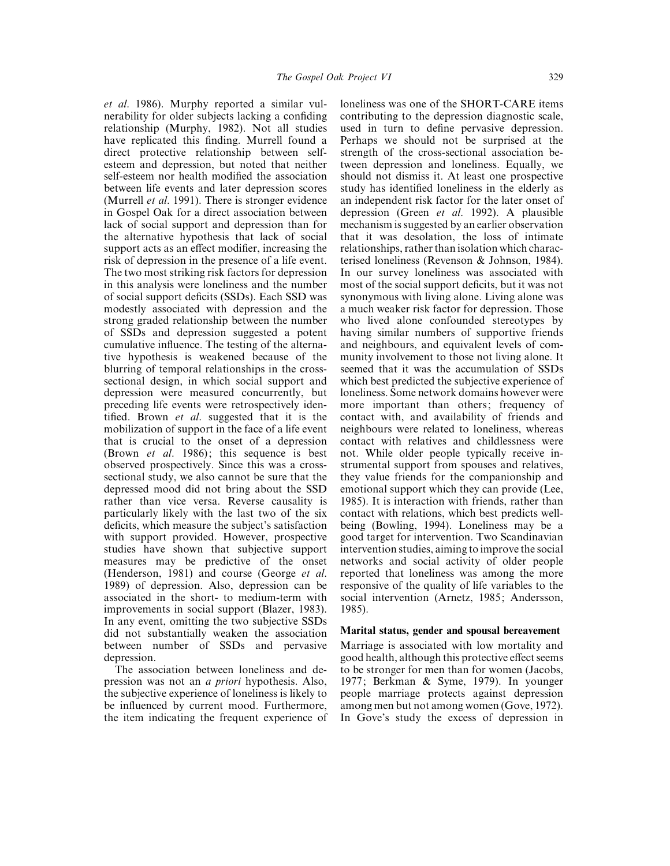*et al*. 1986). Murphy reported a similar vulnerability for older subjects lacking a confiding relationship (Murphy, 1982). Not all studies have replicated this finding. Murrell found a direct protective relationship between selfesteem and depression, but noted that neither self-esteem nor health modified the association between life events and later depression scores (Murrell *et al*. 1991). There is stronger evidence in Gospel Oak for a direct association between lack of social support and depression than for the alternative hypothesis that lack of social support acts as an effect modifier, increasing the risk of depression in the presence of a life event. The two most striking risk factors for depression in this analysis were loneliness and the number of social support deficits (SSDs). Each SSD was modestly associated with depression and the strong graded relationship between the number of SSDs and depression suggested a potent cumulative influence. The testing of the alternative hypothesis is weakened because of the blurring of temporal relationships in the crosssectional design, in which social support and depression were measured concurrently, but preceding life events were retrospectively identified. Brown *et al*. suggested that it is the mobilization of support in the face of a life event that is crucial to the onset of a depression (Brown *et al*. 1986); this sequence is best observed prospectively. Since this was a crosssectional study, we also cannot be sure that the depressed mood did not bring about the SSD rather than vice versa. Reverse causality is particularly likely with the last two of the six deficits, which measure the subject's satisfaction with support provided. However, prospective studies have shown that subjective support measures may be predictive of the onset (Henderson, 1981) and course (George *et al*. 1989) of depression. Also, depression can be associated in the short- to medium-term with improvements in social support (Blazer, 1983). In any event, omitting the two subjective SSDs did not substantially weaken the association between number of SSDs and pervasive depression.

The association between loneliness and depression was not an *a priori* hypothesis. Also, the subjective experience of loneliness is likely to be influenced by current mood. Furthermore, the item indicating the frequent experience of loneliness was one of the SHORT-CARE items contributing to the depression diagnostic scale, used in turn to define pervasive depression. Perhaps we should not be surprised at the strength of the cross-sectional association between depression and loneliness. Equally, we should not dismiss it. At least one prospective study has identified loneliness in the elderly as an independent risk factor for the later onset of depression (Green *et al*. 1992). A plausible mechanism is suggested by an earlier observation that it was desolation, the loss of intimate relationships, rather than isolation which characterised loneliness (Revenson & Johnson, 1984). In our survey loneliness was associated with most of the social support deficits, but it was not synonymous with living alone. Living alone was a much weaker risk factor for depression. Those who lived alone confounded stereotypes by having similar numbers of supportive friends and neighbours, and equivalent levels of community involvement to those not living alone. It seemed that it was the accumulation of SSDs which best predicted the subjective experience of loneliness. Some network domains however were more important than others; frequency of contact with, and availability of friends and neighbours were related to loneliness, whereas contact with relatives and childlessness were not. While older people typically receive instrumental support from spouses and relatives, they value friends for the companionship and emotional support which they can provide (Lee, 1985). It is interaction with friends, rather than contact with relations, which best predicts wellbeing (Bowling, 1994). Loneliness may be a good target for intervention. Two Scandinavian intervention studies, aiming to improve the social networks and social activity of older people reported that loneliness was among the more responsive of the quality of life variables to the social intervention (Arnetz, 1985; Andersson, 1985).

#### **Marital status, gender and spousal bereavement**

Marriage is associated with low mortality and good health, although this protective effect seems to be stronger for men than for women (Jacobs, 1977; Berkman & Syme, 1979). In younger people marriage protects against depression among men but not among women (Gove, 1972). In Gove's study the excess of depression in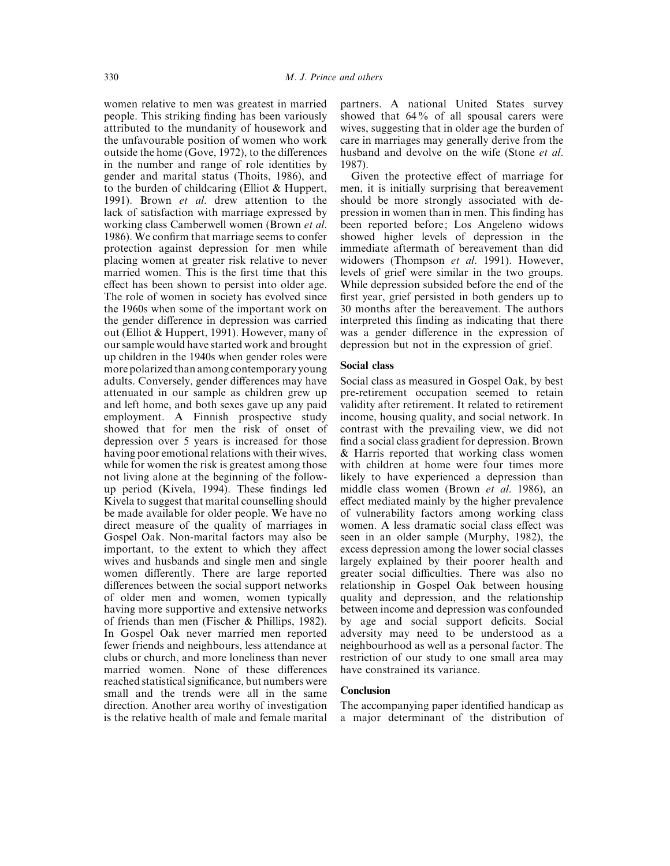women relative to men was greatest in married people. This striking finding has been variously attributed to the mundanity of housework and the unfavourable position of women who work outside the home (Gove, 1972), to the differences in the number and range of role identities by gender and marital status (Thoits, 1986), and to the burden of childcaring (Elliot & Huppert, 1991). Brown *et al*. drew attention to the lack of satisfaction with marriage expressed by working class Camberwell women (Brown *et al*. 1986). We confirm that marriage seems to confer protection against depression for men while placing women at greater risk relative to never married women. This is the first time that this effect has been shown to persist into older age. The role of women in society has evolved since the 1960s when some of the important work on the gender difference in depression was carried out (Elliot & Huppert, 1991). However, many of our sample would have started work and brought up children in the 1940s when gender roles were more polarized than among contemporary young adults. Conversely, gender differences may have attenuated in our sample as children grew up and left home, and both sexes gave up any paid employment. A Finnish prospective study showed that for men the risk of onset of depression over 5 years is increased for those having poor emotional relations with their wives, while for women the risk is greatest among those not living alone at the beginning of the followup period (Kivela, 1994). These findings led Kivela to suggest that marital counselling should be made available for older people. We have no direct measure of the quality of marriages in Gospel Oak. Non-marital factors may also be important, to the extent to which they affect wives and husbands and single men and single women differently. There are large reported differences between the social support networks of older men and women, women typically having more supportive and extensive networks of friends than men (Fischer & Phillips, 1982). In Gospel Oak never married men reported fewer friends and neighbours, less attendance at clubs or church, and more loneliness than never married women. None of these differences reached statistical significance, but numbers were small and the trends were all in the same direction. Another area worthy of investigation is the relative health of male and female marital

partners. A national United States survey showed that 64% of all spousal carers were wives, suggesting that in older age the burden of care in marriages may generally derive from the husband and devolve on the wife (Stone *et al*. 1987).

Given the protective effect of marriage for men, it is initially surprising that bereavement should be more strongly associated with depression in women than in men. This finding has been reported before; Los Angeleno widows showed higher levels of depression in the immediate aftermath of bereavement than did widowers (Thompson *et al*. 1991). However, levels of grief were similar in the two groups. While depression subsided before the end of the first year, grief persisted in both genders up to 30 months after the bereavement. The authors interpreted this finding as indicating that there was a gender difference in the expression of depression but not in the expression of grief.

# **Social class**

Social class as measured in Gospel Oak, by best pre-retirement occupation seemed to retain validity after retirement. It related to retirement income, housing quality, and social network. In contrast with the prevailing view, we did not find a social class gradient for depression. Brown & Harris reported that working class women with children at home were four times more likely to have experienced a depression than middle class women (Brown *et al*. 1986), an effect mediated mainly by the higher prevalence of vulnerability factors among working class women. A less dramatic social class effect was seen in an older sample (Murphy, 1982), the excess depression among the lower social classes largely explained by their poorer health and greater social difficulties. There was also no relationship in Gospel Oak between housing quality and depression, and the relationship between income and depression was confounded by age and social support deficits. Social adversity may need to be understood as a neighbourhood as well as a personal factor. The restriction of our study to one small area may have constrained its variance.

## **Conclusion**

The accompanying paper identified handicap as a major determinant of the distribution of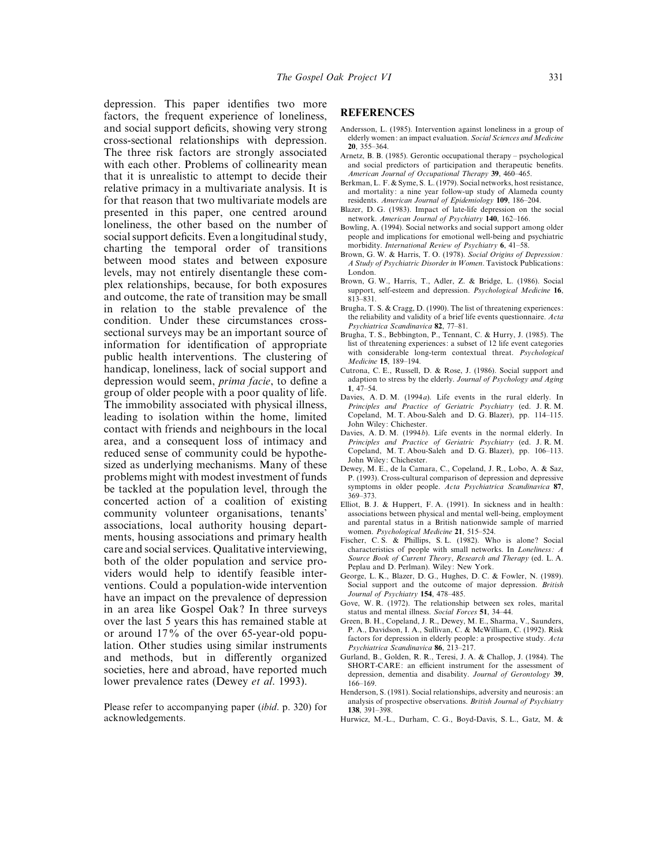depression. This paper identifies two more factors, the frequent experience of loneliness, and social support deficits, showing very strong cross-sectional relationships with depression. The three risk factors are strongly associated with each other. Problems of collinearity mean that it is unrealistic to attempt to decide their relative primacy in a multivariate analysis. It is for that reason that two multivariate models are presented in this paper, one centred around loneliness, the other based on the number of social support deficits. Even a longitudinal study, charting the temporal order of transitions between mood states and between exposure levels, may not entirely disentangle these complex relationships, because, for both exposures and outcome, the rate of transition may be small in relation to the stable prevalence of the condition. Under these circumstances crosssectional surveys may be an important source of information for identification of appropriate public health interventions. The clustering of handicap, loneliness, lack of social support and depression would seem, *prima facie*, to define a group of older people with a poor quality of life. The immobility associated with physical illness, leading to isolation within the home, limited contact with friends and neighbours in the local area, and a consequent loss of intimacy and reduced sense of community could be hypothesized as underlying mechanisms. Many of these problems might with modest investment of funds be tackled at the population level, through the concerted action of a coalition of existing community volunteer organisations, tenants' associations, local authority housing departments, housing associations and primary health care and social services. Qualitative interviewing, both of the older population and service providers would help to identify feasible interventions. Could a population-wide intervention have an impact on the prevalence of depression in an area like Gospel Oak? In three surveys over the last 5 years this has remained stable at or around 17% of the over 65-year-old population. Other studies using similar instruments and methods, but in differently organized societies, here and abroad, have reported much lower prevalence rates (Dewey *et al*. 1993).

Please refer to accompanying paper (*ibid*. p. 320) for acknowledgements.

## **REFERENCES**

- Andersson, L. (1985). Intervention against loneliness in a group of elderly women: an impact evaluation. *Social Sciences and Medicine* **20**, 355–364.
- Arnetz, B. B. (1985). Gerontic occupational therapy psychological and social predictors of participation and therapeutic benefits. *American Journal of Occupational Therapy* **39**, 460–465.
- Berkman, L. F. & Syme, S. L. (1979). Social networks, host resistance, and mortality: a nine year follow-up study of Alameda county residents. *American Journal of Epidemiology* **109**, 186–204.
- Blazer, D. G. (1983). Impact of late-life depression on the social network. *American Journal of Psychiatry* **140**, 162–166.
- Bowling, A. (1994). Social networks and social support among older people and implications for emotional well-being and psychiatric morbidity. *International Review of Psychiatry* **6**, 41–58.
- Brown, G. W. & Harris, T. O. (1978). *Social Origins of Depression : A Study of Psychiatric Disorder in Women*. Tavistock Publications: London.
- Brown, G. W., Harris, T., Adler, Z. & Bridge, L. (1986). Social support, self-esteem and depression. *Psychological Medicine* **16**, 813–831.
- Brugha, T. S. & Cragg, D. (1990). The list of threatening experiences: the reliability and validity of a brief life events questionnaire. *Acta Psychiatrica Scandinavica* **82**, 77–81.
- Brugha, T. S., Bebbington, P., Tennant, C. & Hurry, J. (1985). The list of threatening experiences: a subset of 12 life event categories with considerable long-term contextual threat. *Psychological Medicine* **15**, 189–194.
- Cutrona, C. E., Russell, D. & Rose, J. (1986). Social support and adaption to stress by the elderly. *Journal of Psychology and Aging* **1**, 47–54.
- Davies, A. D. M. (1994*a*). Life events in the rural elderly. In *Principles and Practice of Geriatric Psychiatry* (ed. J. R. M. Copeland, M. T. Abou-Saleh and D. G. Blazer), pp. 114–115. John Wiley: Chichester.
- Davies, A. D. M. (1994*b*). Life events in the normal elderly. In *Principles and Practice of Geriatric Psychiatry* (ed. J. R. M. Copeland, M. T. Abou-Saleh and D. G. Blazer), pp. 106–113. John Wiley: Chichester.
- Dewey, M. E., de la Camara, C., Copeland, J. R., Lobo, A. & Saz, P. (1993). Cross-cultural comparison of depression and depressive symptoms in older people. *Acta Psychiatrica Scandinavica* **87**, 369–373.
- Elliot, B. J. & Huppert, F. A. (1991). In sickness and in health: associations between physical and mental well-being, employment and parental status in a British nationwide sample of married women. *Psychological Medicine* **21**, 515–524.
- Fischer, C. S. & Phillips, S. L. (1982). Who is alone? Social characteristics of people with small networks. In *Loneliness : A Source Book of Current Theory*, *Research and Therapy* (ed. L. A. Peplau and D. Perlman). Wiley: New York.
- George, L. K., Blazer, D. G., Hughes, D. C. & Fowler, N. (1989). Social support and the outcome of major depression. *British Journal of Psychiatry* **154**, 478–485.
- Gove, W. R. (1972). The relationship between sex roles, marital status and mental illness. *Social Forces* **51**, 34–44.
- Green, B. H., Copeland, J. R., Dewey, M. E., Sharma, V., Saunders, P. A., Davidson, I. A., Sullivan, C. & McWilliam, C. (1992). Risk factors for depression in elderly people: a prospective study. *Acta Psychiatrica Scandinavica* **86**, 213–217.
- Gurland, B., Golden, R. R., Teresi, J. A. & Challop, J. (1984). The SHORT-CARE: an efficient instrument for the assessment of depression, dementia and disability. *Journal of Gerontology* **39**, 166–169.
- Henderson, S. (1981). Social relationships, adversity and neurosis: an analysis of prospective observations. *British Journal of Psychiatry* **138**, 391–398.
- Hurwicz, M.-L., Durham, C. G., Boyd-Davis, S. L., Gatz, M. &